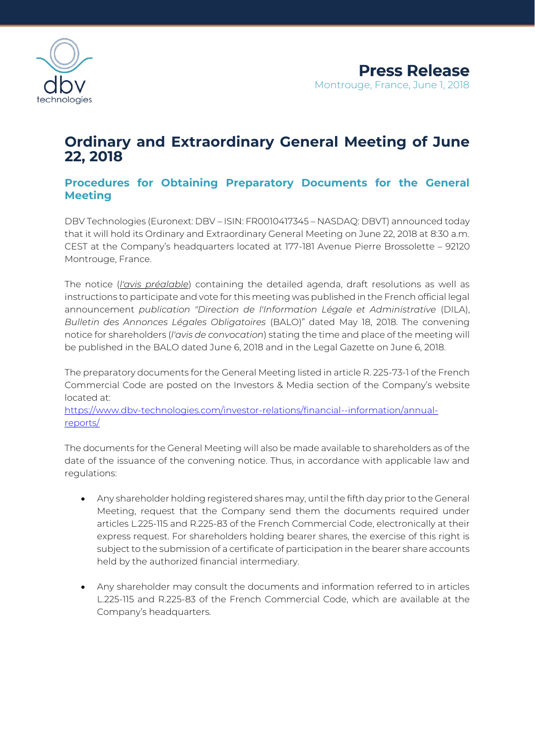

# **Ordinary and Extraordinary General Meeting of June 22, 2018**

# **Procedures for Obtaining Preparatory Documents for the General Meeting**

DBV Technologies (Euronext: DBV – ISIN: FR0010417345 – NASDAQ: DBVT) announced today that it will hold its Ordinary and Extraordinary General Meeting on June 22, 2018 at 8:30 a.m. CEST at the Company's headquarters located at 177-181 Avenue Pierre Brossolette – 92120 Montrouge, France.

The notice (*l'avis préalable*) containing the detailed agenda, draft resolutions as well as instructions to participate and vote for this meeting was published in the French official legal announcement *publication "Direction de l'Information Légale et Administrative (DILA)*, *Bulletin des Annonces Légales Obligatoires* (BALO)" dated May 18, 2018. The convening notice for shareholders (*l'avis de convocation*) stating the time and place of the meeting will be published in the BALO dated June 6, 2018 and in the Legal Gazette on June 6, 2018.

The preparatory documents for the General Meeting listed in article R. 225-73-1 of the French Commercial Code are posted on the Investors & Media section of the Company's website located at:

[https://www.dbv-technologies.com/investor-relations/financial--information/annual](https://www.dbv-technologies.com/investor-relations/financial-information/annual-reports/)[reports/](https://www.dbv-technologies.com/investor-relations/financial-information/annual-reports/)

The documents for the General Meeting will also be made available to shareholders as of the date of the issuance of the convening notice. Thus, in accordance with applicable law and regulations:

- Any shareholder holding registered shares may, until the fifth day prior to the General Meeting, request that the Company send them the documents required under articles L.225-115 and R.225-83 of the French Commercial Code, electronically at their express request. For shareholders holding bearer shares, the exercise of this right is subject to the submission of a certificate of participation in the bearer share accounts held by the authorized financial intermediary.
- Any shareholder may consult the documents and information referred to in articles L.225-115 and R.225-83 of the French Commercial Code, which are available at the Company's headquarters*.*